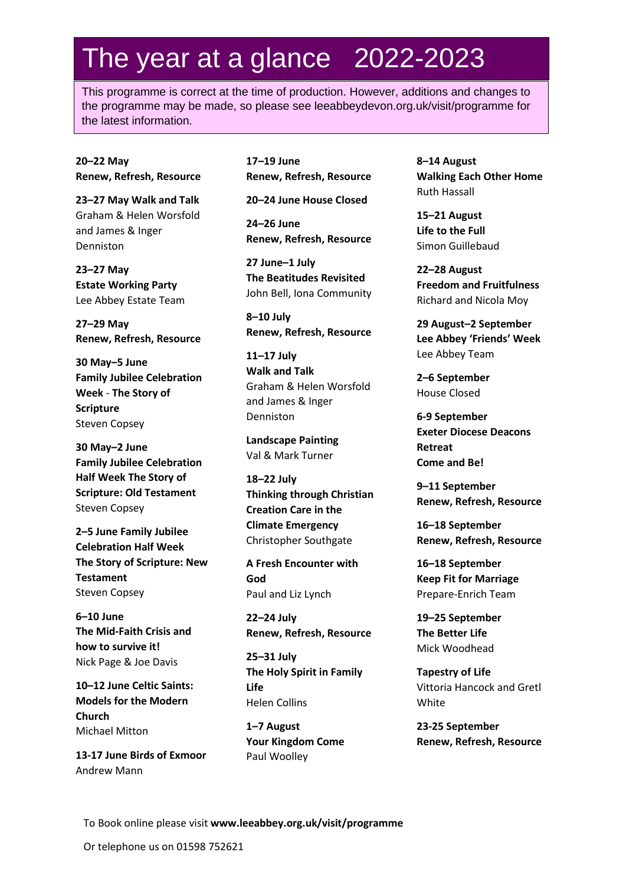## The year at a glance 2022-2023

This programme is correct at the time of production. However, additions and changes to the programme may be made, so please see leeabbeydevon.org.uk/visit/programme for the latest information.

**20–22 May Renew, Refresh, Resource**

**23–27 May Walk and Talk** Graham & Helen Worsfold and James & Inger Denniston

**23–27 May Estate Working Party**  Lee Abbey Estate Team

**27–29 May Renew, Refresh, Resource**

**30 May–5 June Family Jubilee Celebration Week** - **The Story of Scripture** Steven Copsey

**30 May–2 June Family Jubilee Celebration Half Week The Story of Scripture: Old Testament** Steven Copsey

**2–5 June Family Jubilee Celebration Half Week The Story of Scripture: New Testament** Steven Copsey

**6–10 June The Mid-Faith Crisis and how to survive it!** Nick Page & Joe Davis

**10–12 June Celtic Saints: Models for the Modern Church** Michael Mitton

**13-17 June Birds of Exmoor** Andrew Mann

**17–19 June Renew, Refresh, Resource** 

**20–24 June House Closed** 

**24–26 June Renew, Refresh, Resource** 

**27 June–1 July The Beatitudes Revisited** John Bell, Iona Community

**8–10 July Renew, Refresh, Resource** 

**11–17 July Walk and Talk** Graham & Helen Worsfold and James & Inger Denniston

**Landscape Painting** Val & Mark Turner

**18–22 July Thinking through Christian Creation Care in the Climate Emergency** Christopher Southgate

**A Fresh Encounter with God**  Paul and Liz Lynch

**22–24 July Renew, Refresh, Resource**

**25–31 July The Holy Spirit in Family Life** Helen Collins

**1–7 August Your Kingdom Come**  Paul Woolley

**8–14 August Walking Each Other Home** Ruth Hassall

**15–21 August Life to the Full** Simon Guillebaud

**22–28 August Freedom and Fruitfulness** Richard and Nicola Moy

**29 August–2 September Lee Abbey 'Friends' Week** Lee Abbey Team

**2–6 September** House Closed

**6-9 September Exeter Diocese Deacons Retreat Come and Be!**

**9–11 September Renew, Refresh, Resource** 

**16–18 September Renew, Refresh, Resource**

**16–18 September Keep Fit for Marriage** Prepare-Enrich Team

**19–25 September The Better Life** Mick Woodhead

**Tapestry of Life** Vittoria Hancock and Gretl White

**23-25 September Renew, Refresh, Resource**

To Book online please visit **www.leeabbey.org.uk/visit/programme**